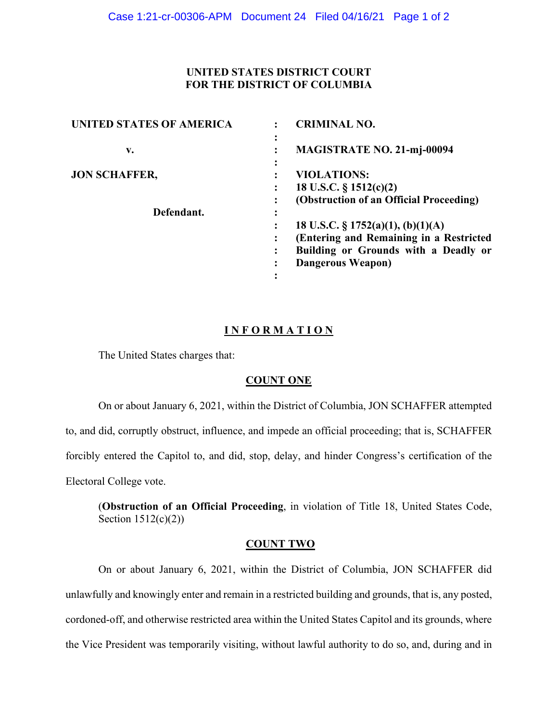## **UNITED STATES DISTRICT COURT FOR THE DISTRICT OF COLUMBIA**

| <b>UNITED STATES OF AMERICA</b> | <b>CRIMINAL NO.</b>                     |
|---------------------------------|-----------------------------------------|
| v.                              | ٠<br><b>MAGISTRATE NO. 21-mj-00094</b>  |
| <b>JON SCHAFFER,</b>            | <b>VIOLATIONS:</b>                      |
|                                 | 18 U.S.C. $\S$ 1512(c)(2)               |
|                                 | (Obstruction of an Official Proceeding) |
| Defendant.                      |                                         |
|                                 | 18 U.S.C. $\S 1752(a)(1), (b)(1)(A)$    |
|                                 | (Entering and Remaining in a Restricted |
|                                 | Building or Grounds with a Deadly or    |
|                                 | <b>Dangerous Weapon</b> )               |
|                                 |                                         |

# **I N F O R M A T I O N**

The United States charges that:

## **COUNT ONE**

On or about January 6, 2021, within the District of Columbia, JON SCHAFFER attempted to, and did, corruptly obstruct, influence, and impede an official proceeding; that is, SCHAFFER forcibly entered the Capitol to, and did, stop, delay, and hinder Congress's certification of the Electoral College vote.

(**Obstruction of an Official Proceeding**, in violation of Title 18, United States Code, Section 1512(c)(2))

## **COUNT TWO**

On or about January 6, 2021, within the District of Columbia, JON SCHAFFER did unlawfully and knowingly enter and remain in a restricted building and grounds, that is, any posted, cordoned-off, and otherwise restricted area within the United States Capitol and its grounds, where the Vice President was temporarily visiting, without lawful authority to do so, and, during and in